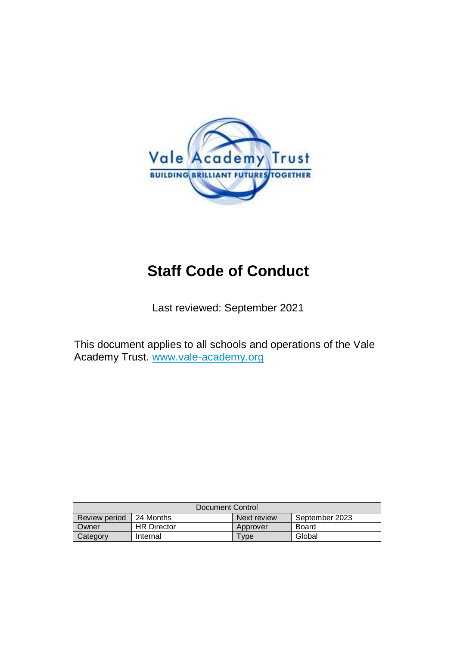

# **Staff Code of Conduct**

Last reviewed: September 2021

This document applies to all schools and operations of the Vale Academy Trust. [www.vale-academy.org](http://www.vale-academy.org/)

| Document Control |                    |                  |                |  |
|------------------|--------------------|------------------|----------------|--|
| Review period    | 24 Months          | Next review      | September 2023 |  |
| Owner            | <b>HR</b> Director | Approver         | Board          |  |
| Category         | Internal           | vpe <sup>-</sup> | Global         |  |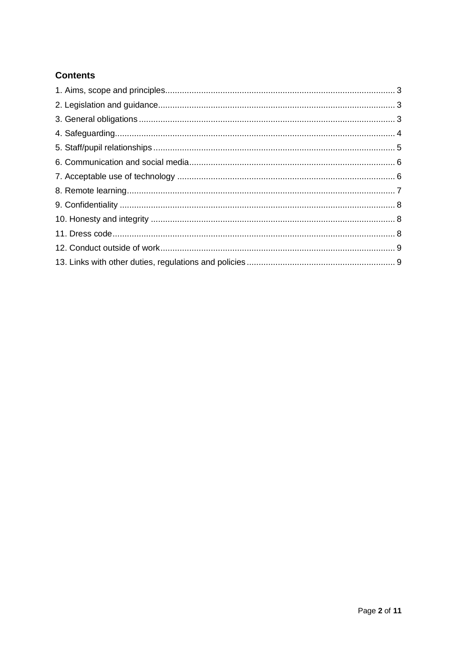## **Contents**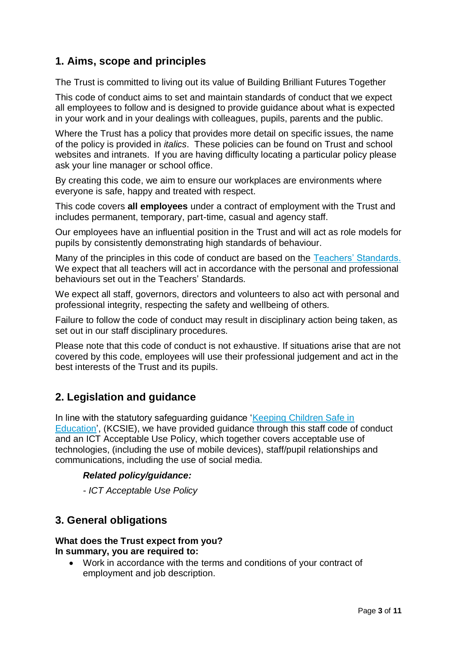# **1. Aims, scope and principles**

The Trust is committed to living out its value of Building Brilliant Futures Together

This code of conduct aims to set and maintain standards of conduct that we expect all employees to follow and is designed to provide guidance about what is expected in your work and in your dealings with colleagues, pupils, parents and the public.

Where the Trust has a policy that provides more detail on specific issues, the name of the policy is provided in *italics*. These policies can be found on Trust and school websites and intranets. If you are having difficulty locating a particular policy please ask your line manager or school office.

By creating this code, we aim to ensure our workplaces are environments where everyone is safe, happy and treated with respect.

This code covers **all employees** under a contract of employment with the Trust and includes permanent, temporary, part-time, casual and agency staff.

Our employees have an influential position in the Trust and will act as role models for pupils by consistently demonstrating high standards of behaviour.

Many of the principles in this code of conduct are based on the [Teachers' Standards.](https://www.gov.uk/government/publications/teachers-standards) We expect that all teachers will act in accordance with the personal and professional behaviours set out in the Teachers' Standards.

We expect all staff, governors, directors and volunteers to also act with personal and professional integrity, respecting the safety and wellbeing of others.

Failure to follow the code of conduct may result in disciplinary action being taken, as set out in our staff disciplinary procedures.

Please note that this code of conduct is not exhaustive. If situations arise that are not covered by this code, employees will use their professional judgement and act in the best interests of the Trust and its pupils.

# **2. Legislation and guidance**

In line with the statutory safeguarding guidance 'Keeping Children Safe in [Education'](https://www.gov.uk/government/publications/keeping-children-safe-in-education--2), (KCSIE), we have provided guidance through this staff code of conduct and an ICT Acceptable Use Policy, which together covers acceptable use of technologies, (including the use of mobile devices), staff/pupil relationships and communications, including the use of social media.

## *Related policy/guidance:*

*- ICT Acceptable Use Policy*

# **3. General obligations**

#### **What does the Trust expect from you? In summary, you are required to:**

 Work in accordance with the terms and conditions of your contract of employment and job description.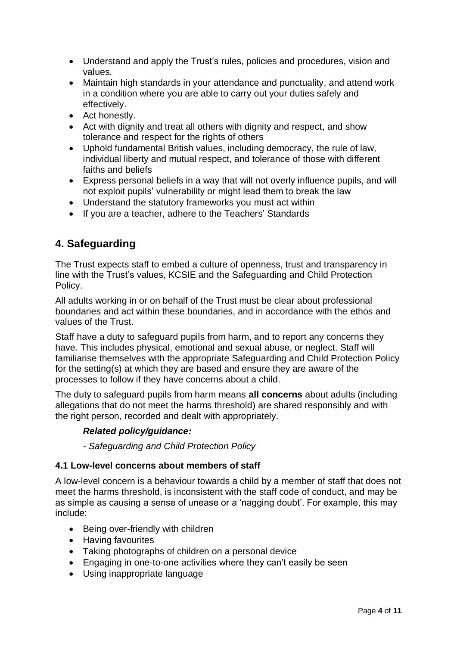- Understand and apply the Trust's rules, policies and procedures, vision and values.
- Maintain high standards in your attendance and punctuality, and attend work in a condition where you are able to carry out your duties safely and effectively.
- Act honestly.
- Act with dignity and treat all others with dignity and respect, and show tolerance and respect for the rights of others
- Uphold fundamental British values, including democracy, the rule of law, individual liberty and mutual respect, and tolerance of those with different faiths and beliefs
- Express personal beliefs in a way that will not overly influence pupils, and will not exploit pupils' vulnerability or might lead them to break the law
- Understand the statutory frameworks you must act within
- If you are a teacher, adhere to the Teachers' Standards

# **4. Safeguarding**

The Trust expects staff to embed a culture of openness, trust and transparency in line with the Trust's values, KCSIE and the Safeguarding and Child Protection Policy.

All adults working in or on behalf of the Trust must be clear about professional boundaries and act within these boundaries, and in accordance with the ethos and values of the Trust.

Staff have a duty to safeguard pupils from harm, and to report any concerns they have. This includes physical, emotional and sexual abuse, or neglect. Staff will familiarise themselves with the appropriate Safeguarding and Child Protection Policy for the setting(s) at which they are based and ensure they are aware of the processes to follow if they have concerns about a child.

The duty to safeguard pupils from harm means **all concerns** about adults (including allegations that do not meet the harms threshold) are shared responsibly and with the right person, recorded and dealt with appropriately.

## *Related policy/guidance:*

*- Safeguarding and Child Protection Policy*

## **4.1 Low-level concerns about members of staff**

A low-level concern is a behaviour towards a child by a member of staff that does not meet the harms threshold, is inconsistent with the staff code of conduct, and may be as simple as causing a sense of unease or a 'nagging doubt'. For example, this may include:

- Being over-friendly with children
- Having favourites
- Taking photographs of children on a personal device
- Engaging in one-to-one activities where they can't easily be seen
- Using inappropriate language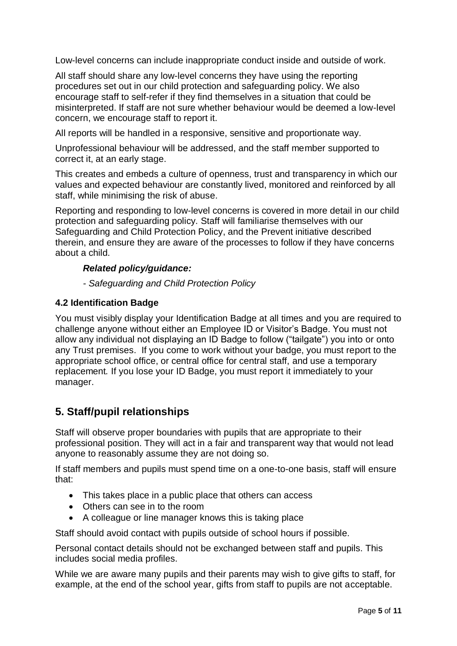Low-level concerns can include inappropriate conduct inside and outside of work.

All staff should share any low-level concerns they have using the reporting procedures set out in our child protection and safeguarding policy. We also encourage staff to self-refer if they find themselves in a situation that could be misinterpreted. If staff are not sure whether behaviour would be deemed a low-level concern, we encourage staff to report it.

All reports will be handled in a responsive, sensitive and proportionate way.

Unprofessional behaviour will be addressed, and the staff member supported to correct it, at an early stage.

This creates and embeds a culture of openness, trust and transparency in which our values and expected behaviour are constantly lived, monitored and reinforced by all staff, while minimising the risk of abuse.

Reporting and responding to low-level concerns is covered in more detail in our child protection and safeguarding policy. Staff will familiarise themselves with our Safeguarding and Child Protection Policy, and the Prevent initiative described therein, and ensure they are aware of the processes to follow if they have concerns about a child.

## *Related policy/guidance:*

*- Safeguarding and Child Protection Policy*

## **4.2 Identification Badge**

You must visibly display your Identification Badge at all times and you are required to challenge anyone without either an Employee ID or Visitor's Badge. You must not allow any individual not displaying an ID Badge to follow ("tailgate") you into or onto any Trust premises. If you come to work without your badge, you must report to the appropriate school office, or central office for central staff, and use a temporary replacement*.* If you lose your ID Badge, you must report it immediately to your manager.

# **5. Staff/pupil relationships**

Staff will observe proper boundaries with pupils that are appropriate to their professional position. They will act in a fair and transparent way that would not lead anyone to reasonably assume they are not doing so.

If staff members and pupils must spend time on a one-to-one basis, staff will ensure that:

- This takes place in a public place that others can access
- Others can see in to the room
- A colleague or line manager knows this is taking place

Staff should avoid contact with pupils outside of school hours if possible.

Personal contact details should not be exchanged between staff and pupils. This includes social media profiles.

While we are aware many pupils and their parents may wish to give gifts to staff, for example, at the end of the school year, gifts from staff to pupils are not acceptable.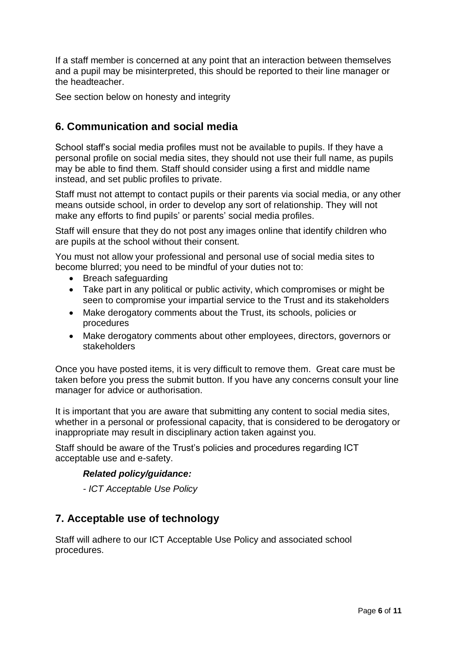If a staff member is concerned at any point that an interaction between themselves and a pupil may be misinterpreted, this should be reported to their line manager or the headteacher.

See section below on honesty and integrity

# **6. Communication and social media**

School staff's social media profiles must not be available to pupils. If they have a personal profile on social media sites, they should not use their full name, as pupils may be able to find them. Staff should consider using a first and middle name instead, and set public profiles to private.

Staff must not attempt to contact pupils or their parents via social media, or any other means outside school, in order to develop any sort of relationship. They will not make any efforts to find pupils' or parents' social media profiles.

Staff will ensure that they do not post any images online that identify children who are pupils at the school without their consent.

You must not allow your professional and personal use of social media sites to become blurred; you need to be mindful of your duties not to:

- Breach safeguarding
- Take part in any political or public activity, which compromises or might be seen to compromise your impartial service to the Trust and its stakeholders
- Make derogatory comments about the Trust, its schools, policies or procedures
- Make derogatory comments about other employees, directors, governors or stakeholders

Once you have posted items, it is very difficult to remove them. Great care must be taken before you press the submit button. If you have any concerns consult your line manager for advice or authorisation.

It is important that you are aware that submitting any content to social media sites, whether in a personal or professional capacity, that is considered to be derogatory or inappropriate may result in disciplinary action taken against you.

Staff should be aware of the Trust's policies and procedures regarding ICT acceptable use and e-safety.

## *Related policy/guidance:*

*- ICT Acceptable Use Policy*

# **7. Acceptable use of technology**

Staff will adhere to our ICT Acceptable Use Policy and associated school procedures.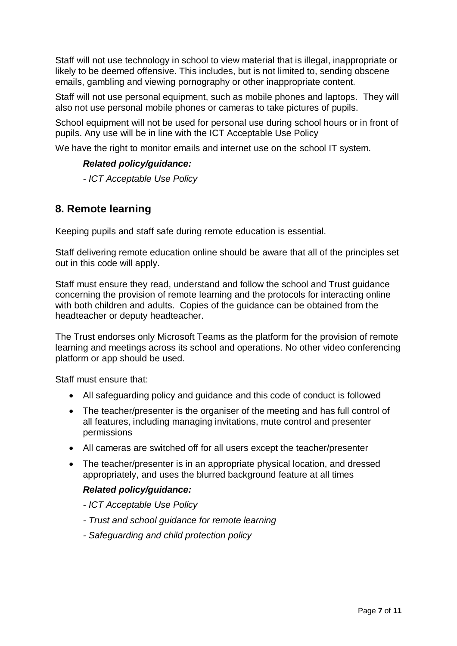Staff will not use technology in school to view material that is illegal, inappropriate or likely to be deemed offensive. This includes, but is not limited to, sending obscene emails, gambling and viewing pornography or other inappropriate content.

Staff will not use personal equipment, such as mobile phones and laptops. They will also not use personal mobile phones or cameras to take pictures of pupils.

School equipment will not be used for personal use during school hours or in front of pupils. Any use will be in line with the ICT Acceptable Use Policy

We have the right to monitor emails and internet use on the school IT system.

## *Related policy/guidance:*

*- ICT Acceptable Use Policy*

## **8. Remote learning**

Keeping pupils and staff safe during remote education is essential.

Staff delivering remote education online should be aware that all of the principles set out in this code will apply.

Staff must ensure they read, understand and follow the school and Trust guidance concerning the provision of remote learning and the protocols for interacting online with both children and adults. Copies of the guidance can be obtained from the headteacher or deputy headteacher.

The Trust endorses only Microsoft Teams as the platform for the provision of remote learning and meetings across its school and operations. No other video conferencing platform or app should be used.

Staff must ensure that:

- All safeguarding policy and guidance and this code of conduct is followed
- The teacher/presenter is the organiser of the meeting and has full control of all features, including managing invitations, mute control and presenter permissions
- All cameras are switched off for all users except the teacher/presenter
- The teacher/presenter is in an appropriate physical location, and dressed appropriately, and uses the blurred background feature at all times

## *Related policy/guidance:*

- *- ICT Acceptable Use Policy*
- *- Trust and school guidance for remote learning*
- *- Safeguarding and child protection policy*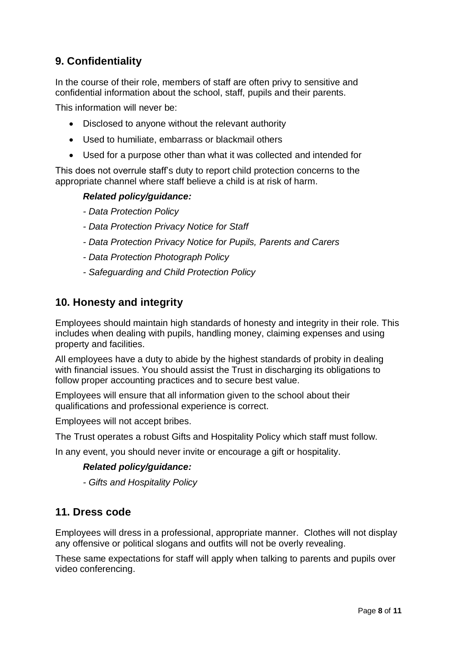# **9. Confidentiality**

In the course of their role, members of staff are often privy to sensitive and confidential information about the school, staff, pupils and their parents.

This information will never be:

- Disclosed to anyone without the relevant authority
- Used to humiliate, embarrass or blackmail others
- Used for a purpose other than what it was collected and intended for

This does not overrule staff's duty to report child protection concerns to the appropriate channel where staff believe a child is at risk of harm.

## *Related policy/guidance:*

- *- Data Protection Policy*
- *- Data Protection Privacy Notice for Staff*
- *- Data Protection Privacy Notice for Pupils, Parents and Carers*
- *- Data Protection Photograph Policy*
- *- Safeguarding and Child Protection Policy*

## **10. Honesty and integrity**

Employees should maintain high standards of honesty and integrity in their role. This includes when dealing with pupils, handling money, claiming expenses and using property and facilities.

All employees have a duty to abide by the highest standards of probity in dealing with financial issues. You should assist the Trust in discharging its obligations to follow proper accounting practices and to secure best value.

Employees will ensure that all information given to the school about their qualifications and professional experience is correct.

Employees will not accept bribes.

The Trust operates a robust Gifts and Hospitality Policy which staff must follow.

In any event, you should never invite or encourage a gift or hospitality.

#### *Related policy/guidance:*

*- Gifts and Hospitality Policy*

## **11. Dress code**

Employees will dress in a professional, appropriate manner. Clothes will not display any offensive or political slogans and outfits will not be overly revealing.

These same expectations for staff will apply when talking to parents and pupils over video conferencing.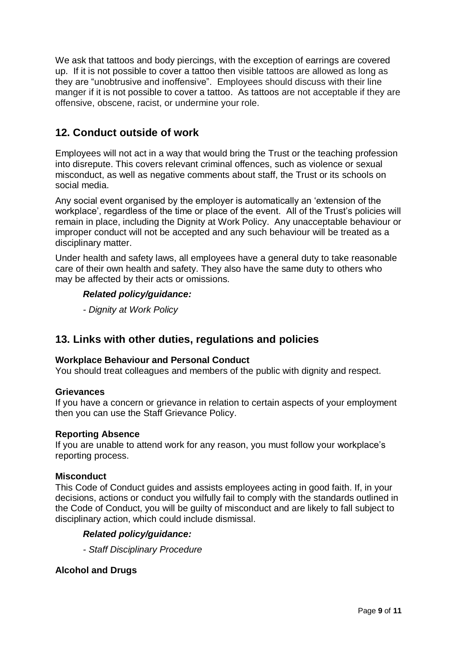We ask that tattoos and body piercings, with the exception of earrings are covered up. If it is not possible to cover a tattoo then visible tattoos are allowed as long as they are "unobtrusive and inoffensive". Employees should discuss with their line manger if it is not possible to cover a tattoo. As tattoos are not acceptable if they are offensive, obscene, racist, or undermine your role.

# **12. Conduct outside of work**

Employees will not act in a way that would bring the Trust or the teaching profession into disrepute. This covers relevant criminal offences, such as violence or sexual misconduct, as well as negative comments about staff, the Trust or its schools on social media.

Any social event organised by the employer is automatically an 'extension of the workplace', regardless of the time or place of the event. All of the Trust's policies will remain in place, including the Dignity at Work Policy. Any unacceptable behaviour or improper conduct will not be accepted and any such behaviour will be treated as a disciplinary matter.

Under health and safety laws, all employees have a general duty to take reasonable care of their own health and safety. They also have the same duty to others who may be affected by their acts or omissions.

## *Related policy/guidance:*

*- Dignity at Work Policy*

# **13. Links with other duties, regulations and policies**

## **Workplace Behaviour and Personal Conduct**

You should treat colleagues and members of the public with dignity and respect.

## **Grievances**

If you have a concern or grievance in relation to certain aspects of your employment then you can use the Staff Grievance Policy.

## **Reporting Absence**

If you are unable to attend work for any reason, you must follow your workplace's reporting process.

## **Misconduct**

This Code of Conduct guides and assists employees acting in good faith. If, in your decisions, actions or conduct you wilfully fail to comply with the standards outlined in the Code of Conduct, you will be guilty of misconduct and are likely to fall subject to disciplinary action, which could include dismissal.

## *Related policy/guidance:*

*- Staff Disciplinary Procedure*

## **Alcohol and Drugs**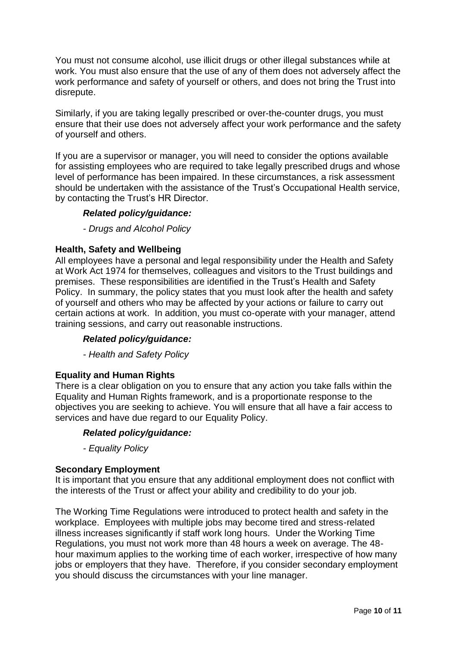You must not consume alcohol, use illicit drugs or other illegal substances while at work. You must also ensure that the use of any of them does not adversely affect the work performance and safety of yourself or others, and does not bring the Trust into disrepute.

Similarly, if you are taking legally prescribed or over-the-counter drugs, you must ensure that their use does not adversely affect your work performance and the safety of yourself and others.

If you are a supervisor or manager, you will need to consider the options available for assisting employees who are required to take legally prescribed drugs and whose level of performance has been impaired. In these circumstances, a risk assessment should be undertaken with the assistance of the Trust's Occupational Health service, by contacting the Trust's HR Director.

## *Related policy/guidance:*

*- Drugs and Alcohol Policy*

## **Health, Safety and Wellbeing**

All employees have a personal and legal responsibility under the Health and Safety at Work Act 1974 for themselves, colleagues and visitors to the Trust buildings and premises. These responsibilities are identified in the Trust's Health and Safety Policy. In summary, the policy states that you must look after the health and safety of yourself and others who may be affected by your actions or failure to carry out certain actions at work. In addition, you must co-operate with your manager, attend training sessions, and carry out reasonable instructions.

## *Related policy/guidance:*

*- Health and Safety Policy*

## **Equality and Human Rights**

There is a clear obligation on you to ensure that any action you take falls within the Equality and Human Rights framework, and is a proportionate response to the objectives you are seeking to achieve. You will ensure that all have a fair access to services and have due regard to our Equality Policy.

## *Related policy/guidance:*

*- Equality Policy*

## **Secondary Employment**

It is important that you ensure that any additional employment does not conflict with the interests of the Trust or affect your ability and credibility to do your job.

The Working Time Regulations were introduced to protect health and safety in the workplace. Employees with multiple jobs may become tired and stress-related illness increases significantly if staff work long hours. Under the Working Time Regulations, you must not work more than 48 hours a week on average. The 48 hour maximum applies to the working time of each worker, irrespective of how many jobs or employers that they have. Therefore, if you consider secondary employment you should discuss the circumstances with your line manager.